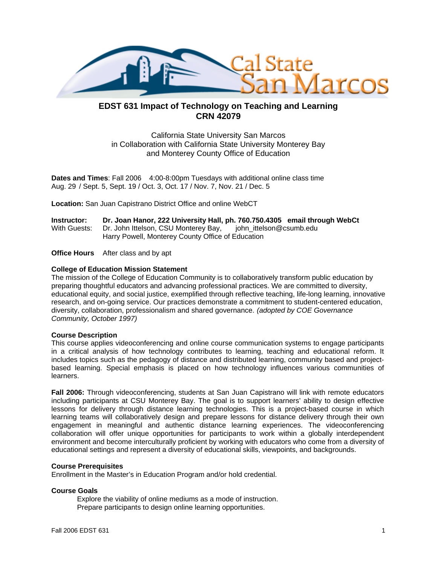

# **EDST 631 Impact of Technology on Teaching and Learning CRN 42079**

California State University San Marcos in Collaboration with California State University Monterey Bay and Monterey County Office of Education

**Dates and Times**: Fall 2006 4:00-8:00pm Tuesdays with additional online class time Aug. 29 / Sept. 5, Sept. 19 / Oct. 3, Oct. 17 / Nov. 7, Nov. 21 / Dec. 5

**Location:** San Juan Capistrano District Office and online WebCT

| Instructor: | Dr. Joan Hanor, 222 University Hall, ph. 760.750.4305 email through WebCt |  |  |
|-------------|---------------------------------------------------------------------------|--|--|
|             |                                                                           |  |  |
|             | Harry Powell, Monterey County Office of Education                         |  |  |

**Office Hours** After class and by apt

#### **College of Education Mission Statement**

The mission of the College of Education Community is to collaboratively transform public education by preparing thoughtful educators and advancing professional practices. We are committed to diversity, educational equity, and social justice, exemplified through reflective teaching, life-long learning, innovative research, and on-going service. Our practices demonstrate a commitment to student-centered education, diversity, collaboration, professionalism and shared governance. *(adopted by COE Governance Community, October 1997)* 

#### **Course Description**

This course applies videoconferencing and online course communication systems to engage participants in a critical analysis of how technology contributes to learning, teaching and educational reform. It includes topics such as the pedagogy of distance and distributed learning, community based and projectbased learning. Special emphasis is placed on how technology influences various communities of learners.

**Fall 2006:** Through videoconferencing, students at San Juan Capistrano will link with remote educators including participants at CSU Monterey Bay. The goal is to support learners' ability to design effective lessons for delivery through distance learning technologies. This is a project-based course in which learning teams will collaboratively design and prepare lessons for distance delivery through their own engagement in meaningful and authentic distance learning experiences. The videoconferencing collaboration will offer unique opportunities for participants to work within a globally interdependent environment and become interculturally proficient by working with educators who come from a diversity of educational settings and represent a diversity of educational skills, viewpoints, and backgrounds.

#### **Course Prerequisites**

Enrollment in the Master's in Education Program and/or hold credential.

#### **Course Goals**

Explore the viability of online mediums as a mode of instruction. Prepare participants to design online learning opportunities.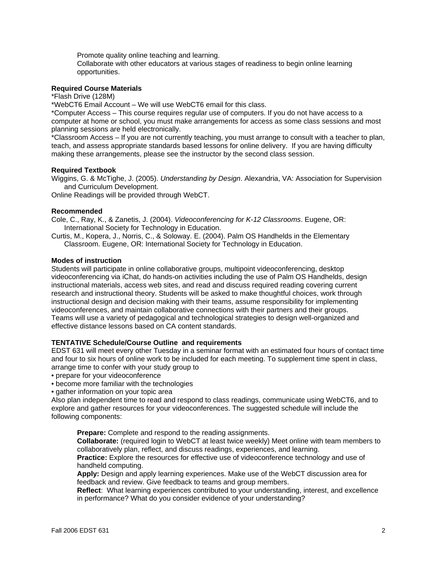Promote quality online teaching and learning.

Collaborate with other educators at various stages of readiness to begin online learning opportunities.

#### **Required Course Materials**

\*Flash Drive (128M)

\*WebCT6 Email Account – We will use WebCT6 email for this class.

\*Computer Access – This course requires regular use of computers. If you do not have access to a computer at home or school, you must make arrangements for access as some class sessions and most planning sessions are held electronically.

\*Classroom Access – If you are not currently teaching, you must arrange to consult with a teacher to plan, teach, and assess appropriate standards based lessons for online delivery. If you are having difficulty making these arrangements, please see the instructor by the second class session.

### **Required Textbook**

Wiggins, G. & McTighe, J. (2005). *Understanding by Design*. Alexandria, VA: Association for Supervision and Curriculum Development.

Online Readings will be provided through WebCT.

#### **Recommended**

Cole, C., Ray, K., & Zanetis, J. (2004). *Videoconferencing for K-12 Classrooms*. Eugene, OR: International Society for Technology in Education.

Curtis, M., Kopera, J., Norris, C., & Soloway. E. (2004). Palm OS Handhelds in the Elementary Classroom. Eugene, OR: International Society for Technology in Education.

#### **Modes of instruction**

Students will participate in online collaborative groups, multipoint videoconferencing, desktop videoconferencing via iChat, do hands-on activities including the use of Palm OS Handhelds, design instructional materials, access web sites, and read and discuss required reading covering current research and instructional theory. Students will be asked to make thoughtful choices, work through instructional design and decision making with their teams, assume responsibility for implementing videoconferences, and maintain collaborative connections with their partners and their groups. Teams will use a variety of pedagogical and technological strategies to design well-organized and effective distance lessons based on CA content standards.

#### **TENTATIVE Schedule/Course Outline and requirements**

EDST 631 will meet every other Tuesday in a seminar format with an estimated four hours of contact time and four to six hours of online work to be included for each meeting. To supplement time spent in class, arrange time to confer with your study group to

- prepare for your videoconference
- become more familiar with the technologies
- gather information on your topic area

Also plan independent time to read and respond to class readings, communicate using WebCT6, and to explore and gather resources for your videoconferences. The suggested schedule will include the following components:

**Prepare:** Complete and respond to the reading assignments.

**Collaborate:** (required login to WebCT at least twice weekly) Meet online with team members to collaboratively plan, reflect, and discuss readings, experiences, and learning.

**Practice:** Explore the resources for effective use of videoconference technology and use of handheld computing.

**Apply:** Design and apply learning experiences. Make use of the WebCT discussion area for feedback and review. Give feedback to teams and group members.

**Reflect**: What learning experiences contributed to your understanding, interest, and excellence in performance? What do you consider evidence of your understanding?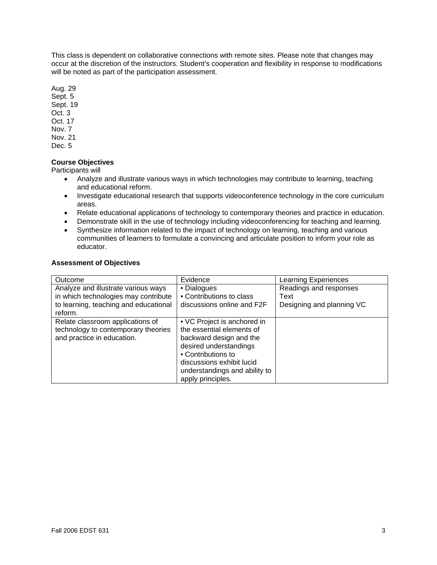This class is dependent on collaborative connections with remote sites. Please note that changes may occur at the discretion of the instructors. Student's cooperation and flexibility in response to modifications will be noted as part of the participation assessment.

Aug. 29 Sept. 5

Sept. 19

- Oct. 3
- Oct. 17
- Nov. 7
- Nov. 21
- Dec. 5

# **Course Objectives**

Participants will

- Analyze and illustrate various ways in which technologies may contribute to learning, teaching and educational reform.
- Investigate educational research that supports videoconference technology in the core curriculum areas.
- Relate educational applications of technology to contemporary theories and practice in education.
- Demonstrate skill in the use of technology including videoconferencing for teaching and learning.
- Synthesize information related to the impact of technology on learning, teaching and various communities of learners to formulate a convincing and articulate position to inform your role as educator.

# **Assessment of Objectives**

| Outcome                                                                                                                         | Evidence                                                                                                                                                                                                               | <b>Learning Experiences</b>                                 |
|---------------------------------------------------------------------------------------------------------------------------------|------------------------------------------------------------------------------------------------------------------------------------------------------------------------------------------------------------------------|-------------------------------------------------------------|
| Analyze and illustrate various ways<br>in which technologies may contribute<br>to learning, teaching and educational<br>reform. | • Dialogues<br>• Contributions to class<br>discussions online and F2F                                                                                                                                                  | Readings and responses<br>Text<br>Designing and planning VC |
| Relate classroom applications of<br>technology to contemporary theories<br>and practice in education.                           | • VC Project is anchored in<br>the essential elements of<br>backward design and the<br>desired understandings<br>• Contributions to<br>discussions exhibit lucid<br>understandings and ability to<br>apply principles. |                                                             |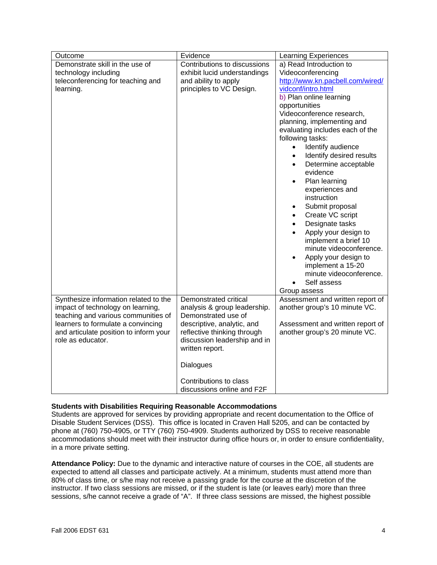| Outcome                                | Evidence                     | <b>Learning Experiences</b>           |
|----------------------------------------|------------------------------|---------------------------------------|
| Demonstrate skill in the use of        | Contributions to discussions | a) Read Introduction to               |
| technology including                   | exhibit lucid understandings | Videoconferencing                     |
| teleconferencing for teaching and      | and ability to apply         | http://www.kn.pacbell.com/wired/      |
| learning.                              | principles to VC Design.     | vidconf/intro.html                    |
|                                        |                              | b) Plan online learning               |
|                                        |                              | opportunities                         |
|                                        |                              | Videoconference research,             |
|                                        |                              | planning, implementing and            |
|                                        |                              | evaluating includes each of the       |
|                                        |                              | following tasks:                      |
|                                        |                              | Identify audience<br>$\bullet$        |
|                                        |                              | Identify desired results<br>$\bullet$ |
|                                        |                              | Determine acceptable<br>$\bullet$     |
|                                        |                              | evidence                              |
|                                        |                              | Plan learning<br>$\bullet$            |
|                                        |                              | experiences and                       |
|                                        |                              | instruction                           |
|                                        |                              | Submit proposal                       |
|                                        |                              | Create VC script<br>$\bullet$         |
|                                        |                              | Designate tasks                       |
|                                        |                              | Apply your design to<br>$\bullet$     |
|                                        |                              | implement a brief 10                  |
|                                        |                              | minute videoconference.               |
|                                        |                              | Apply your design to                  |
|                                        |                              | implement a 15-20                     |
|                                        |                              | minute videoconference.               |
|                                        |                              | Self assess                           |
|                                        |                              | Group assess                          |
| Synthesize information related to the  | Demonstrated critical        | Assessment and written report of      |
| impact of technology on learning,      | analysis & group leadership. | another group's 10 minute VC.         |
| teaching and various communities of    | Demonstrated use of          |                                       |
| learners to formulate a convincing     | descriptive, analytic, and   | Assessment and written report of      |
| and articulate position to inform your | reflective thinking through  | another group's 20 minute VC.         |
| role as educator.                      | discussion leadership and in |                                       |
|                                        | written report.              |                                       |
|                                        |                              |                                       |
|                                        | Dialogues                    |                                       |
|                                        |                              |                                       |
|                                        | Contributions to class       |                                       |
|                                        | discussions online and F2F   |                                       |

#### **Students with Disabilities Requiring Reasonable Accommodations**

Students are approved for services by providing appropriate and recent documentation to the Office of Disable Student Services (DSS). This office is located in Craven Hall 5205, and can be contacted by phone at (760) 750-4905, or TTY (760) 750-4909. Students authorized by DSS to receive reasonable accommodations should meet with their instructor during office hours or, in order to ensure confidentiality, in a more private setting.

**Attendance Policy:** Due to the dynamic and interactive nature of courses in the COE, all students are expected to attend all classes and participate actively. At a minimum, students must attend more than 80% of class time, or s/he may not receive a passing grade for the course at the discretion of the instructor. If two class sessions are missed, or if the student is late (or leaves early) more than three sessions, s/he cannot receive a grade of "A". If three class sessions are missed, the highest possible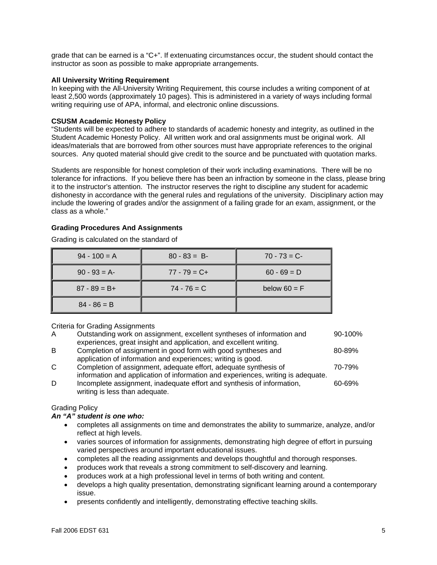grade that can be earned is a "C+". If extenuating circumstances occur, the student should contact the instructor as soon as possible to make appropriate arrangements.

#### **All University Writing Requirement**

In keeping with the All-University Writing Requirement, this course includes a writing component of at least 2,500 words (approximately 10 pages). This is administered in a variety of ways including formal writing requiring use of APA, informal, and electronic online discussions.

### **CSUSM Academic Honesty Policy**

"Students will be expected to adhere to standards of academic honesty and integrity, as outlined in the Student Academic Honesty Policy. All written work and oral assignments must be original work. All ideas/materials that are borrowed from other sources must have appropriate references to the original sources. Any quoted material should give credit to the source and be punctuated with quotation marks.

Students are responsible for honest completion of their work including examinations. There will be no tolerance for infractions. If you believe there has been an infraction by someone in the class, please bring it to the instructor's attention. The instructor reserves the right to discipline any student for academic dishonesty in accordance with the general rules and regulations of the university. Disciplinary action may include the lowering of grades and/or the assignment of a failing grade for an exam, assignment, or the class as a whole."

### **Grading Procedures And Assignments**

Grading is calculated on the standard of

| $94 - 100 = A$  | $80 - 83 = B$   | $70 - 73 = C$  |
|-----------------|-----------------|----------------|
| $90 - 93 = A$   | $77 - 79 = C +$ | $60 - 69 = D$  |
| $87 - 89 = B +$ | $74 - 76 = C$   | below $60 = F$ |
| $84 - 86 = B$   |                 |                |

#### Criteria for Grading Assignments

| Outstanding work on assignment, excellent syntheses of information and<br>90-100% |
|-----------------------------------------------------------------------------------|
|                                                                                   |
|                                                                                   |
| 80-89%                                                                            |
|                                                                                   |
| 70-79%                                                                            |
| information and application of information and experiences, writing is adequate.  |
| Incomplete assignment, inadequate effort and synthesis of information,<br>60-69%  |
|                                                                                   |

# Grading Policy

## *An "A" student is one who:*

writing is less than adequate.

- completes all assignments on time and demonstrates the ability to summarize, analyze, and/or reflect at high levels.
- varies sources of information for assignments, demonstrating high degree of effort in pursuing varied perspectives around important educational issues.
- completes all the reading assignments and develops thoughtful and thorough responses.
- produces work that reveals a strong commitment to self-discovery and learning.
- produces work at a high professional level in terms of both writing and content.
- develops a high quality presentation, demonstrating significant learning around a contemporary issue.
- presents confidently and intelligently, demonstrating effective teaching skills.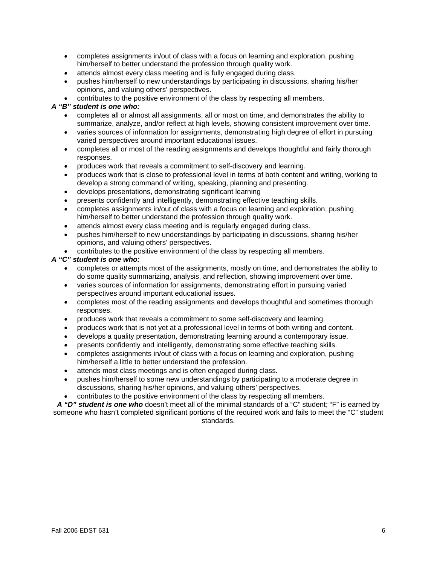- completes assignments in/out of class with a focus on learning and exploration, pushing him/herself to better understand the profession through quality work.
- attends almost every class meeting and is fully engaged during class.
- pushes him/herself to new understandings by participating in discussions, sharing his/her opinions, and valuing others' perspectives.
- contributes to the positive environment of the class by respecting all members.

### *A "B" student is one who:*

- completes all or almost all assignments, all or most on time, and demonstrates the ability to summarize, analyze, and/or reflect at high levels, showing consistent improvement over time.
- varies sources of information for assignments, demonstrating high degree of effort in pursuing varied perspectives around important educational issues.
- completes all or most of the reading assignments and develops thoughtful and fairly thorough responses.
- produces work that reveals a commitment to self-discovery and learning.
- produces work that is close to professional level in terms of both content and writing, working to develop a strong command of writing, speaking, planning and presenting.
- develops presentations, demonstrating significant learning
- presents confidently and intelligently, demonstrating effective teaching skills.
- completes assignments in/out of class with a focus on learning and exploration, pushing him/herself to better understand the profession through quality work.
- attends almost every class meeting and is regularly engaged during class.
- pushes him/herself to new understandings by participating in discussions, sharing his/her opinions, and valuing others' perspectives.
- contributes to the positive environment of the class by respecting all members.

# *A "C" student is one who:*

- completes or attempts most of the assignments, mostly on time, and demonstrates the ability to do some quality summarizing, analysis, and reflection, showing improvement over time.
- varies sources of information for assignments, demonstrating effort in pursuing varied perspectives around important educational issues.
- completes most of the reading assignments and develops thoughtful and sometimes thorough responses.
- produces work that reveals a commitment to some self-discovery and learning.
- produces work that is not yet at a professional level in terms of both writing and content.
- develops a quality presentation, demonstrating learning around a contemporary issue.
- presents confidently and intelligently, demonstrating some effective teaching skills.
- completes assignments in/out of class with a focus on learning and exploration, pushing him/herself a little to better understand the profession.
- attends most class meetings and is often engaged during class.
- pushes him/herself to some new understandings by participating to a moderate degree in discussions, sharing his/her opinions, and valuing others' perspectives.
- contributes to the positive environment of the class by respecting all members.

*A "D" student is one who* doesn't meet all of the minimal standards of a "C" student; "F" is earned by someone who hasn't completed significant portions of the required work and fails to meet the "C" student standards.